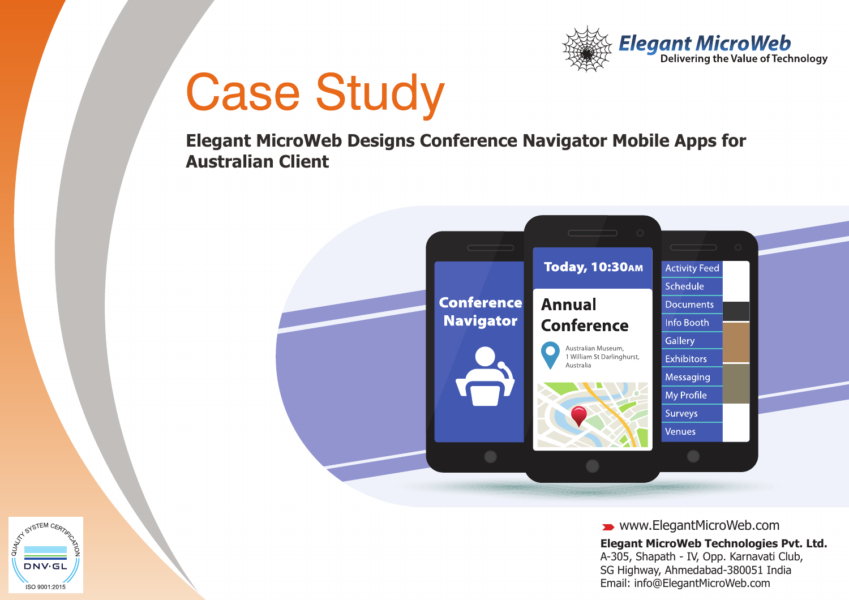

**Elegant MicroWeb Designs Conference Navigator Mobile Apps for Australian Client**



www.ElegantMicroWeb.com **Elegant MicroWeb Technologies Pvt. Ltd.**

A-305, Shapath - IV, Opp. Karnavati Club, SG Highway, Ahmedabad-380051 India Email: info@ElegantMicroWeb.com

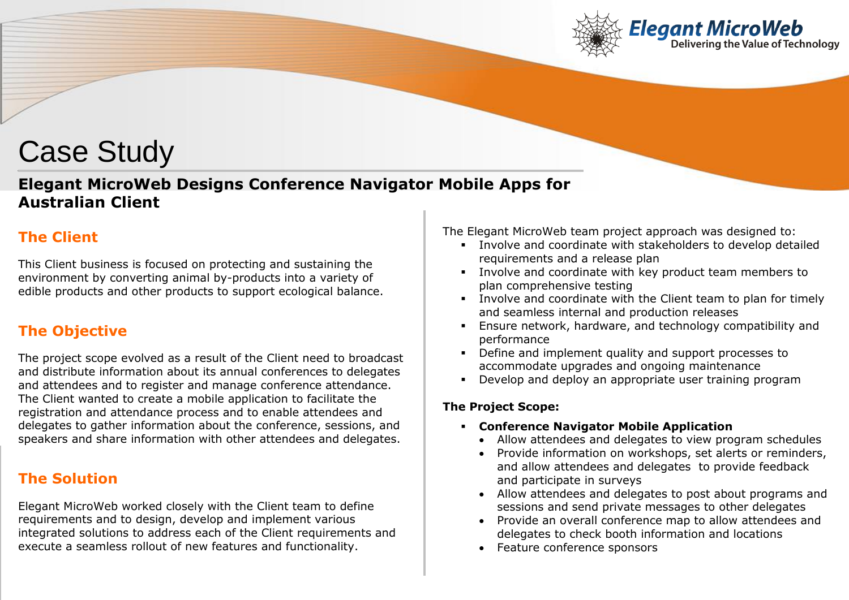

# **Elegant MicroWeb Designs Conference Navigator Mobile Apps for Australian Client**

# **The Client**

This Client business is focused on protecting and sustaining the environment by converting animal by-products into a variety of edible products and other products to support ecological balance.

# **The Objective**

The project scope evolved as a result of the Client need to broadcast and distribute information about its annual conferences to delegates and attendees and to register and manage conference attendance. The Client wanted to create a mobile application to facilitate the registration and attendance process and to enable attendees and delegates to gather information about the conference, sessions, and speakers and share information with other attendees and delegates.

### **The Solution**

Elegant MicroWeb worked closely with the Client team to define requirements and to design, develop and implement various integrated solutions to address each of the Client requirements and execute a seamless rollout of new features and functionality.

The Elegant MicroWeb team project approach was designed to:

- Involve and coordinate with stakeholders to develop detailed requirements and a release plan
- Involve and coordinate with key product team members to plan comprehensive testing
- Involve and coordinate with the Client team to plan for timely and seamless internal and production releases
- Ensure network, hardware, and technology compatibility and performance
- Define and implement quality and support processes to accommodate upgrades and ongoing maintenance
- Develop and deploy an appropriate user training program

#### **The Project Scope:**

- **Conference Navigator Mobile Application**
	- Allow attendees and delegates to view program schedules
	- Provide information on workshops, set alerts or reminders, and allow attendees and delegates to provide feedback and participate in surveys
	- Allow attendees and delegates to post about programs and sessions and send private messages to other delegates
	- Provide an overall conference map to allow attendees and delegates to check booth information and locations
	- Feature conference sponsors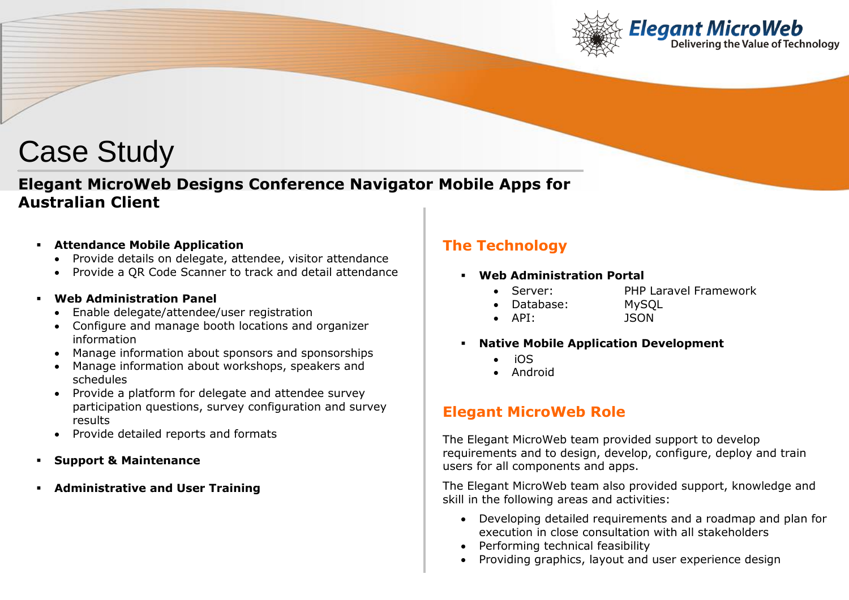

# **Elegant MicroWeb Designs Conference Navigator Mobile Apps for Australian Client**

- **Attendance Mobile Application**
	- Provide details on delegate, attendee, visitor attendance
	- Provide a QR Code Scanner to track and detail attendance

#### **Web Administration Panel**

- Enable delegate/attendee/user registration
- Configure and manage booth locations and organizer information
- Manage information about sponsors and sponsorships
- Manage information about workshops, speakers and schedules
- Provide a platform for delegate and attendee survey participation questions, survey configuration and survey results
- Provide detailed reports and formats
- **Support & Maintenance**
- **Administrative and User Training**

# **The Technology**

- **Web Administration Portal**
	- Server: PHP Laravel Framework
	- Database: MySQL
		-
	- API: JSON
- **Native Mobile Application Development**
	- iOS
	- Android

# **Elegant MicroWeb Role**

The Elegant MicroWeb team provided support to develop requirements and to design, develop, configure, deploy and train users for all components and apps.

The Elegant MicroWeb team also provided support, knowledge and skill in the following areas and activities:

- Developing detailed requirements and a roadmap and plan for execution in close consultation with all stakeholders
- Performing technical feasibility
- Providing graphics, layout and user experience design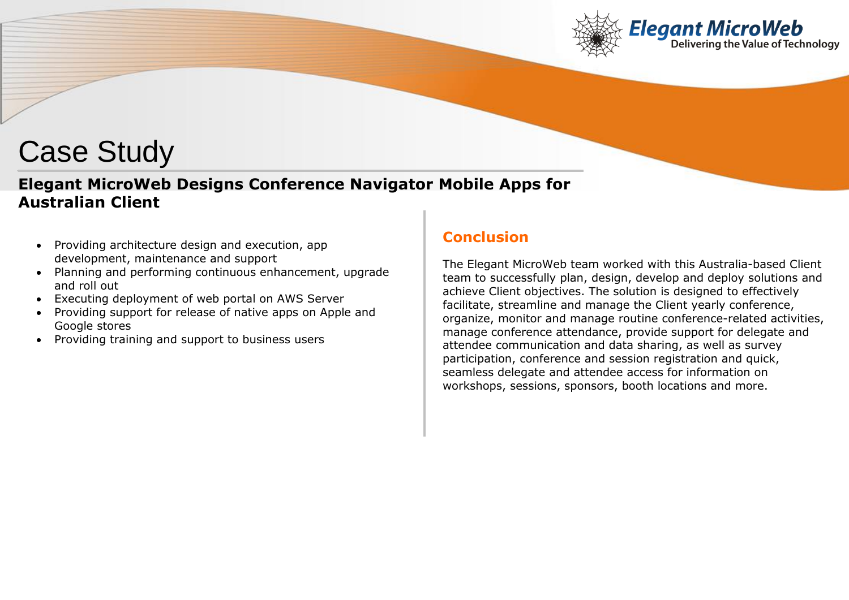

# **Elegant MicroWeb Designs Conference Navigator Mobile Apps for Australian Client**

- Providing architecture design and execution, app development, maintenance and support
- Planning and performing continuous enhancement, upgrade and roll out
- Executing deployment of web portal on AWS Server
- Providing support for release of native apps on Apple and Google stores
- Providing training and support to business users

# **Conclusion**

The Elegant MicroWeb team worked with this Australia-based Client team to successfully plan, design, develop and deploy solutions and achieve Client objectives. The solution is designed to effectively facilitate, streamline and manage the Client yearly conference, organize, monitor and manage routine conference-related activities, manage conference attendance, provide support for delegate and attendee communication and data sharing, as well as survey participation, conference and session registration and quick, seamless delegate and attendee access for information on workshops, sessions, sponsors, booth locations and more.